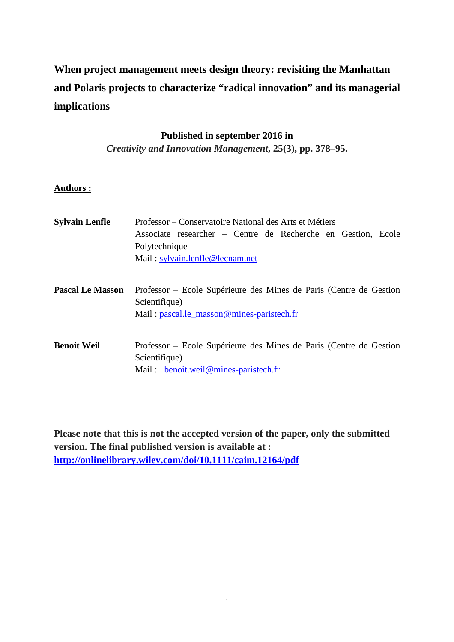# **When project management meets design theory: revisiting the Manhattan and Polaris projects to characterize "radical innovation" and its managerial implications**

# **Published in september 2016 in**

*Creativity and Innovation Management***, 25(3), pp. 378–95.** 

# **Authors :**

| <b>Sylvain Lenfle</b>   | Professor – Conservatoire National des Arts et Métiers<br>Associate researcher – Centre de Recherche en Gestion, Ecole<br>Polytechnique<br>Mail: $sylvain.lengthe@lecnam.net$ |
|-------------------------|-------------------------------------------------------------------------------------------------------------------------------------------------------------------------------|
| <b>Pascal Le Masson</b> | Professor – Ecole Supérieure des Mines de Paris (Centre de Gestion<br>Scientifique)<br>Mail: pascal.le_masson@mines-paristech.fr                                              |
| <b>Benoit Weil</b>      | Professor – Ecole Supérieure des Mines de Paris (Centre de Gestion<br>Scientifique)<br>Mail: benoit.weil@mines-paristech.fr                                                   |

**Please note that this is not the accepted version of the paper, only the submitted version. The final published version is available at : http://onlinelibrary.wiley.com/doi/10.1111/caim.12164/pdf**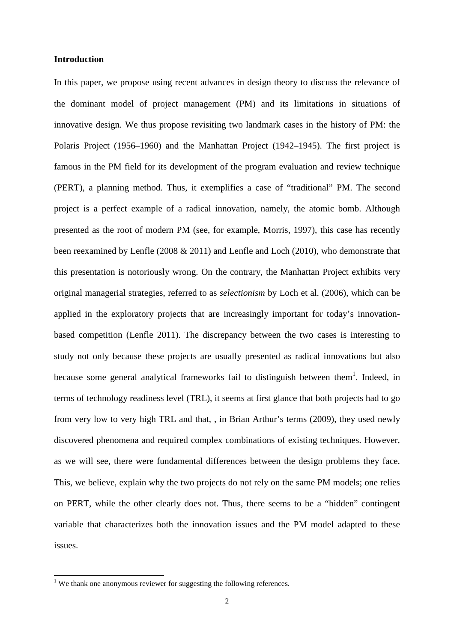#### **Introduction**

In this paper, we propose using recent advances in design theory to discuss the relevance of the dominant model of project management (PM) and its limitations in situations of innovative design. We thus propose revisiting two landmark cases in the history of PM: the Polaris Project (1956–1960) and the Manhattan Project (1942–1945). The first project is famous in the PM field for its development of the program evaluation and review technique (PERT), a planning method. Thus, it exemplifies a case of "traditional" PM. The second project is a perfect example of a radical innovation, namely, the atomic bomb. Although presented as the root of modern PM (see, for example, Morris, 1997), this case has recently been reexamined by Lenfle (2008 & 2011) and Lenfle and Loch (2010), who demonstrate that this presentation is notoriously wrong. On the contrary, the Manhattan Project exhibits very original managerial strategies, referred to as *selectionism* by Loch et al. (2006), which can be applied in the exploratory projects that are increasingly important for today's innovationbased competition (Lenfle 2011). The discrepancy between the two cases is interesting to study not only because these projects are usually presented as radical innovations but also because some general analytical frameworks fail to distinguish between them<sup>1</sup>. Indeed, in terms of technology readiness level (TRL), it seems at first glance that both projects had to go from very low to very high TRL and that, , in Brian Arthur's terms (2009), they used newly discovered phenomena and required complex combinations of existing techniques. However, as we will see, there were fundamental differences between the design problems they face. This, we believe, explain why the two projects do not rely on the same PM models; one relies on PERT, while the other clearly does not. Thus, there seems to be a "hidden" contingent variable that characterizes both the innovation issues and the PM model adapted to these issues.

<sup>&</sup>lt;sup>1</sup> We thank one anonymous reviewer for suggesting the following references.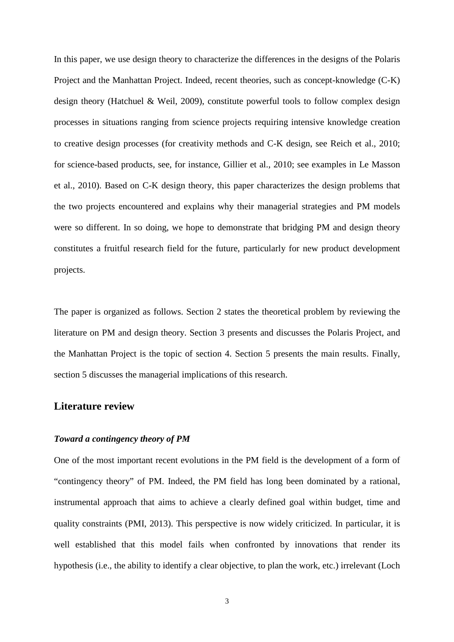In this paper, we use design theory to characterize the differences in the designs of the Polaris Project and the Manhattan Project. Indeed, recent theories, such as concept-knowledge (C-K) design theory (Hatchuel & Weil, 2009), constitute powerful tools to follow complex design processes in situations ranging from science projects requiring intensive knowledge creation to creative design processes (for creativity methods and C-K design, see Reich et al., 2010; for science-based products, see, for instance, Gillier et al., 2010; see examples in Le Masson et al., 2010). Based on C-K design theory, this paper characterizes the design problems that the two projects encountered and explains why their managerial strategies and PM models were so different. In so doing, we hope to demonstrate that bridging PM and design theory constitutes a fruitful research field for the future, particularly for new product development projects.

The paper is organized as follows. Section 2 states the theoretical problem by reviewing the literature on PM and design theory. Section 3 presents and discusses the Polaris Project, and the Manhattan Project is the topic of section 4. Section 5 presents the main results. Finally, section 5 discusses the managerial implications of this research.

# **Literature review**

#### *Toward a contingency theory of PM*

One of the most important recent evolutions in the PM field is the development of a form of "contingency theory" of PM. Indeed, the PM field has long been dominated by a rational, instrumental approach that aims to achieve a clearly defined goal within budget, time and quality constraints (PMI, 2013). This perspective is now widely criticized. In particular, it is well established that this model fails when confronted by innovations that render its hypothesis (i.e., the ability to identify a clear objective, to plan the work, etc.) irrelevant (Loch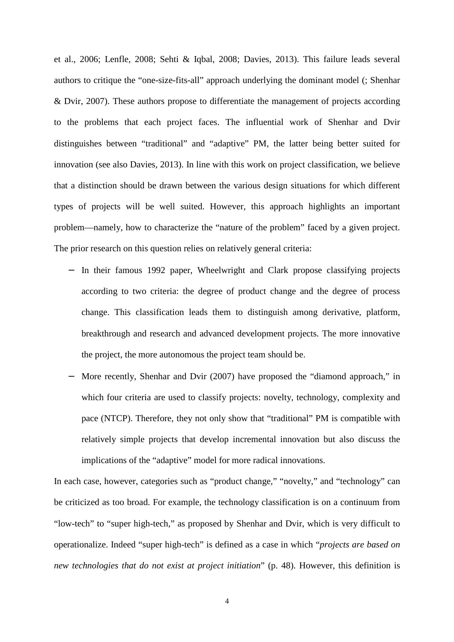et al., 2006; Lenfle, 2008; Sehti & Iqbal, 2008; Davies, 2013). This failure leads several authors to critique the "one-size-fits-all" approach underlying the dominant model (; Shenhar & Dvir, 2007). These authors propose to differentiate the management of projects according to the problems that each project faces. The influential work of Shenhar and Dvir distinguishes between "traditional" and "adaptive" PM, the latter being better suited for innovation (see also Davies, 2013). In line with this work on project classification, we believe that a distinction should be drawn between the various design situations for which different types of projects will be well suited. However, this approach highlights an important problem—namely, how to characterize the "nature of the problem" faced by a given project. The prior research on this question relies on relatively general criteria:

- − In their famous 1992 paper, Wheelwright and Clark propose classifying projects according to two criteria: the degree of product change and the degree of process change. This classification leads them to distinguish among derivative, platform, breakthrough and research and advanced development projects. The more innovative the project, the more autonomous the project team should be.
- More recently, Shenhar and Dvir (2007) have proposed the "diamond approach," in which four criteria are used to classify projects: novelty, technology, complexity and pace (NTCP). Therefore, they not only show that "traditional" PM is compatible with relatively simple projects that develop incremental innovation but also discuss the implications of the "adaptive" model for more radical innovations.

In each case, however, categories such as "product change," "novelty," and "technology" can be criticized as too broad. For example, the technology classification is on a continuum from "low-tech" to "super high-tech," as proposed by Shenhar and Dvir, which is very difficult to operationalize. Indeed "super high-tech" is defined as a case in which "*projects are based on new technologies that do not exist at project initiation*" (p. 48). However, this definition is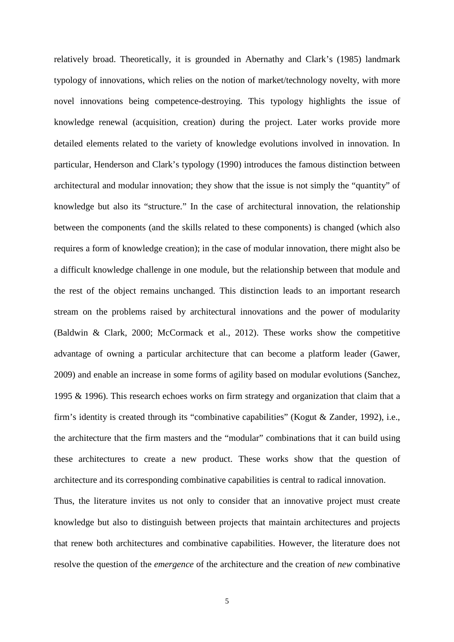relatively broad. Theoretically, it is grounded in Abernathy and Clark's (1985) landmark typology of innovations, which relies on the notion of market/technology novelty, with more novel innovations being competence-destroying. This typology highlights the issue of knowledge renewal (acquisition, creation) during the project. Later works provide more detailed elements related to the variety of knowledge evolutions involved in innovation. In particular, Henderson and Clark's typology (1990) introduces the famous distinction between architectural and modular innovation; they show that the issue is not simply the "quantity" of knowledge but also its "structure." In the case of architectural innovation, the relationship between the components (and the skills related to these components) is changed (which also requires a form of knowledge creation); in the case of modular innovation, there might also be a difficult knowledge challenge in one module, but the relationship between that module and the rest of the object remains unchanged. This distinction leads to an important research stream on the problems raised by architectural innovations and the power of modularity (Baldwin & Clark, 2000; McCormack et al., 2012). These works show the competitive advantage of owning a particular architecture that can become a platform leader (Gawer, 2009) and enable an increase in some forms of agility based on modular evolutions (Sanchez, 1995 & 1996). This research echoes works on firm strategy and organization that claim that a firm's identity is created through its "combinative capabilities" (Kogut & Zander, 1992), i.e., the architecture that the firm masters and the "modular" combinations that it can build using these architectures to create a new product. These works show that the question of architecture and its corresponding combinative capabilities is central to radical innovation.

Thus, the literature invites us not only to consider that an innovative project must create knowledge but also to distinguish between projects that maintain architectures and projects that renew both architectures and combinative capabilities. However, the literature does not resolve the question of the *emergence* of the architecture and the creation of *new* combinative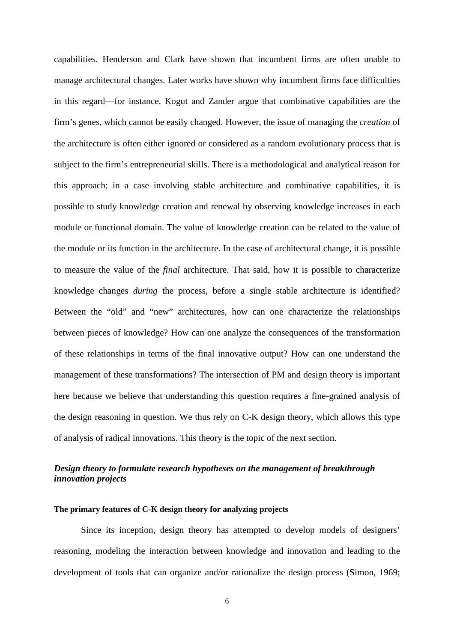capabilities. Henderson and Clark have shown that incumbent firms are often unable to manage architectural changes. Later works have shown why incumbent firms face difficulties in this regard—for instance, Kogut and Zander argue that combinative capabilities are the firm's genes, which cannot be easily changed. However, the issue of managing the *creation* of the architecture is often either ignored or considered as a random evolutionary process that is subject to the firm's entrepreneurial skills. There is a methodological and analytical reason for this approach; in a case involving stable architecture and combinative capabilities, it is possible to study knowledge creation and renewal by observing knowledge increases in each module or functional domain. The value of knowledge creation can be related to the value of the module or its function in the architecture. In the case of architectural change, it is possible to measure the value of the *final* architecture. That said, how it is possible to characterize knowledge changes *during* the process, before a single stable architecture is identified? Between the "old" and "new" architectures, how can one characterize the relationships between pieces of knowledge? How can one analyze the consequences of the transformation of these relationships in terms of the final innovative output? How can one understand the management of these transformations? The intersection of PM and design theory is important here because we believe that understanding this question requires a fine-grained analysis of the design reasoning in question. We thus rely on C-K design theory, which allows this type of analysis of radical innovations. This theory is the topic of the next section.

# *Design theory to formulate research hypotheses on the management of breakthrough innovation projects*

#### **The primary features of C-K design theory for analyzing projects**

Since its inception, design theory has attempted to develop models of designers' reasoning, modeling the interaction between knowledge and innovation and leading to the development of tools that can organize and/or rationalize the design process (Simon, 1969;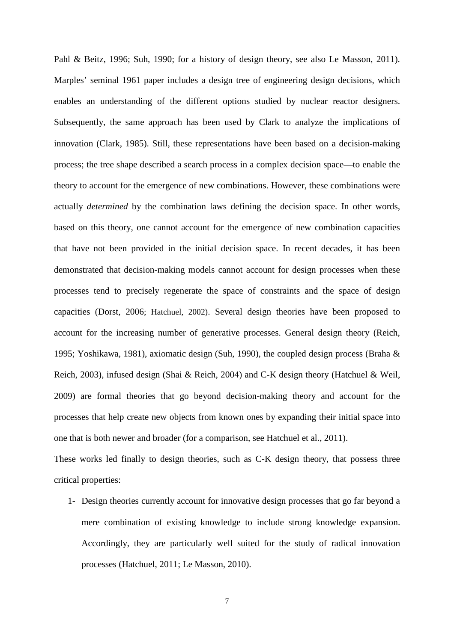Pahl & Beitz, 1996; Suh, 1990; for a history of design theory, see also Le Masson, 2011). Marples' seminal 1961 paper includes a design tree of engineering design decisions, which enables an understanding of the different options studied by nuclear reactor designers. Subsequently, the same approach has been used by Clark to analyze the implications of innovation (Clark, 1985). Still, these representations have been based on a decision-making process; the tree shape described a search process in a complex decision space—to enable the theory to account for the emergence of new combinations. However, these combinations were actually *determined* by the combination laws defining the decision space. In other words, based on this theory, one cannot account for the emergence of new combination capacities that have not been provided in the initial decision space. In recent decades, it has been demonstrated that decision-making models cannot account for design processes when these processes tend to precisely regenerate the space of constraints and the space of design capacities (Dorst, 2006; Hatchuel, 2002). Several design theories have been proposed to account for the increasing number of generative processes. General design theory (Reich, 1995; Yoshikawa, 1981), axiomatic design (Suh, 1990), the coupled design process (Braha & Reich, 2003), infused design (Shai & Reich, 2004) and C-K design theory (Hatchuel & Weil, 2009) are formal theories that go beyond decision-making theory and account for the processes that help create new objects from known ones by expanding their initial space into one that is both newer and broader (for a comparison, see Hatchuel et al., 2011).

These works led finally to design theories, such as C-K design theory, that possess three critical properties:

1- Design theories currently account for innovative design processes that go far beyond a mere combination of existing knowledge to include strong knowledge expansion. Accordingly, they are particularly well suited for the study of radical innovation processes (Hatchuel, 2011; Le Masson, 2010).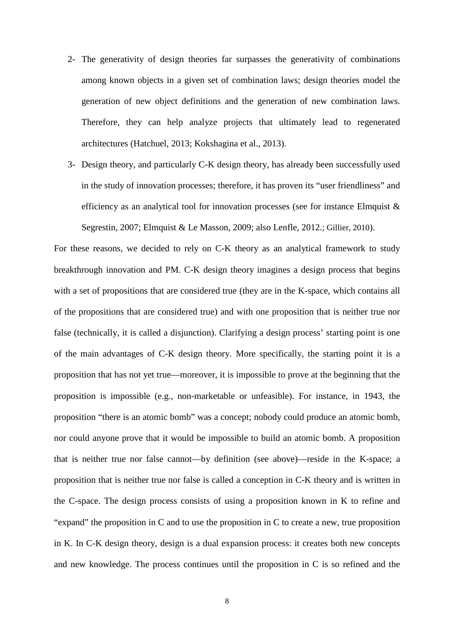- 2- The generativity of design theories far surpasses the generativity of combinations among known objects in a given set of combination laws; design theories model the generation of new object definitions and the generation of new combination laws. Therefore, they can help analyze projects that ultimately lead to regenerated architectures (Hatchuel, 2013; Kokshagina et al., 2013).
- 3- Design theory, and particularly C-K design theory, has already been successfully used in the study of innovation processes; therefore, it has proven its "user friendliness" and efficiency as an analytical tool for innovation processes (see for instance Elmquist & Segrestin, 2007; Elmquist & Le Masson, 2009; also Lenfle, 2012.; Gillier, 2010).

For these reasons, we decided to rely on C-K theory as an analytical framework to study breakthrough innovation and PM. C-K design theory imagines a design process that begins with a set of propositions that are considered true (they are in the K-space, which contains all of the propositions that are considered true) and with one proposition that is neither true nor false (technically, it is called a disjunction). Clarifying a design process' starting point is one of the main advantages of C-K design theory. More specifically, the starting point it is a proposition that has not yet true—moreover, it is impossible to prove at the beginning that the proposition is impossible (e.g., non-marketable or unfeasible). For instance, in 1943, the proposition "there is an atomic bomb" was a concept; nobody could produce an atomic bomb, nor could anyone prove that it would be impossible to build an atomic bomb. A proposition that is neither true nor false cannot—by definition (see above)—reside in the K-space; a proposition that is neither true nor false is called a conception in C-K theory and is written in the C-space. The design process consists of using a proposition known in K to refine and "expand" the proposition in C and to use the proposition in C to create a new, true proposition in K. In C-K design theory, design is a dual expansion process: it creates both new concepts and new knowledge. The process continues until the proposition in C is so refined and the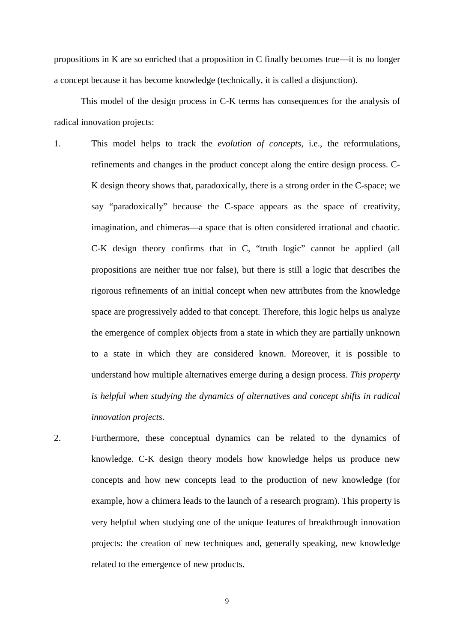propositions in K are so enriched that a proposition in C finally becomes true—it is no longer a concept because it has become knowledge (technically, it is called a disjunction).

This model of the design process in C-K terms has consequences for the analysis of radical innovation projects:

- 1. This model helps to track the *evolution of concepts*, i.e., the reformulations, refinements and changes in the product concept along the entire design process. C-K design theory shows that, paradoxically, there is a strong order in the C-space; we say "paradoxically" because the C-space appears as the space of creativity, imagination, and chimeras—a space that is often considered irrational and chaotic. C-K design theory confirms that in C, "truth logic" cannot be applied (all propositions are neither true nor false), but there is still a logic that describes the rigorous refinements of an initial concept when new attributes from the knowledge space are progressively added to that concept. Therefore, this logic helps us analyze the emergence of complex objects from a state in which they are partially unknown to a state in which they are considered known. Moreover, it is possible to understand how multiple alternatives emerge during a design process. *This property is helpful when studying the dynamics of alternatives and concept shifts in radical innovation projects.*
- 2. Furthermore, these conceptual dynamics can be related to the dynamics of knowledge. C-K design theory models how knowledge helps us produce new concepts and how new concepts lead to the production of new knowledge (for example, how a chimera leads to the launch of a research program). This property is very helpful when studying one of the unique features of breakthrough innovation projects: the creation of new techniques and, generally speaking, new knowledge related to the emergence of new products.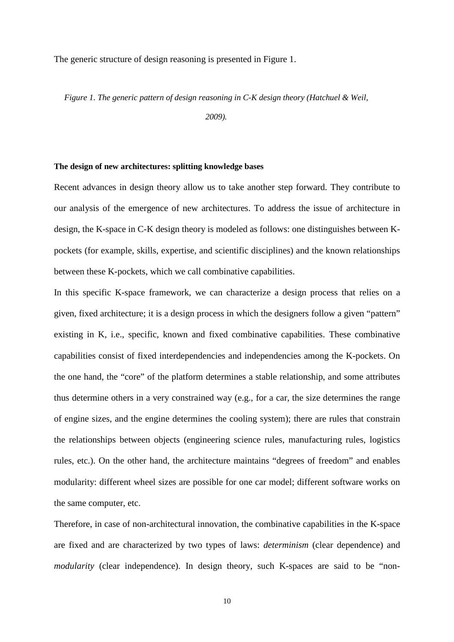The generic structure of design reasoning is presented in Figure 1.

*Figure 1. The generic pattern of design reasoning in C-K design theory (Hatchuel & Weil,* 

*2009).* 

#### **The design of new architectures: splitting knowledge bases**

Recent advances in design theory allow us to take another step forward. They contribute to our analysis of the emergence of new architectures. To address the issue of architecture in design, the K-space in C-K design theory is modeled as follows: one distinguishes between Kpockets (for example, skills, expertise, and scientific disciplines) and the known relationships between these K-pockets, which we call combinative capabilities.

In this specific K-space framework, we can characterize a design process that relies on a given, fixed architecture; it is a design process in which the designers follow a given "pattern" existing in K, i.e., specific, known and fixed combinative capabilities. These combinative capabilities consist of fixed interdependencies and independencies among the K-pockets. On the one hand, the "core" of the platform determines a stable relationship, and some attributes thus determine others in a very constrained way (e.g., for a car, the size determines the range of engine sizes, and the engine determines the cooling system); there are rules that constrain the relationships between objects (engineering science rules, manufacturing rules, logistics rules, etc.). On the other hand, the architecture maintains "degrees of freedom" and enables modularity: different wheel sizes are possible for one car model; different software works on the same computer, etc.

Therefore, in case of non-architectural innovation, the combinative capabilities in the K-space are fixed and are characterized by two types of laws: *determinism* (clear dependence) and *modularity* (clear independence). In design theory, such K-spaces are said to be "non-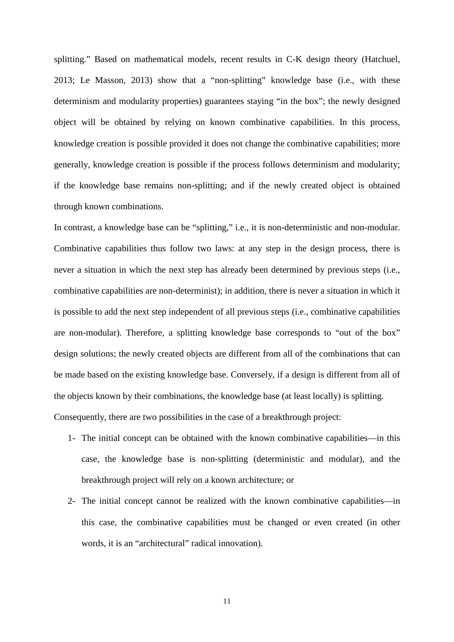splitting." Based on mathematical models, recent results in C-K design theory (Hatchuel, 2013; Le Masson, 2013) show that a "non-splitting" knowledge base (i.e., with these determinism and modularity properties) guarantees staying "in the box"; the newly designed object will be obtained by relying on known combinative capabilities. In this process, knowledge creation is possible provided it does not change the combinative capabilities; more generally, knowledge creation is possible if the process follows determinism and modularity; if the knowledge base remains non-splitting; and if the newly created object is obtained through known combinations.

In contrast, a knowledge base can be "splitting," i.e., it is non-deterministic and non-modular. Combinative capabilities thus follow two laws: at any step in the design process, there is never a situation in which the next step has already been determined by previous steps (i.e., combinative capabilities are non-determinist); in addition, there is never a situation in which it is possible to add the next step independent of all previous steps (i.e., combinative capabilities are non-modular). Therefore, a splitting knowledge base corresponds to "out of the box" design solutions; the newly created objects are different from all of the combinations that can be made based on the existing knowledge base. Conversely, if a design is different from all of the objects known by their combinations, the knowledge base (at least locally) is splitting. Consequently, there are two possibilities in the case of a breakthrough project:

- 1- The initial concept can be obtained with the known combinative capabilities—in this case, the knowledge base is non-splitting (deterministic and modular), and the breakthrough project will rely on a known architecture; or
- 2- The initial concept cannot be realized with the known combinative capabilities—in this case, the combinative capabilities must be changed or even created (in other words, it is an "architectural" radical innovation).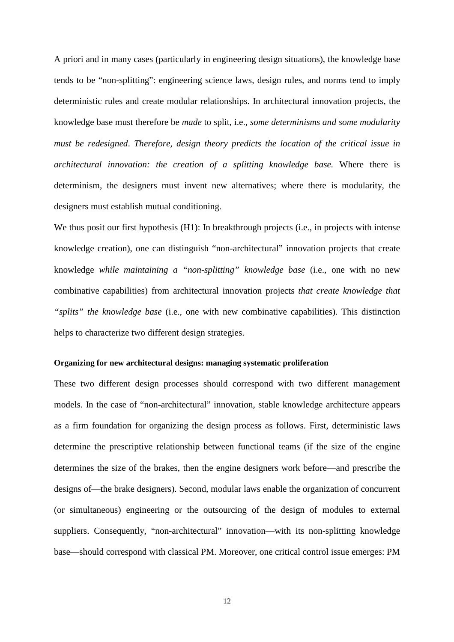A priori and in many cases (particularly in engineering design situations), the knowledge base tends to be "non-splitting": engineering science laws, design rules, and norms tend to imply deterministic rules and create modular relationships. In architectural innovation projects, the knowledge base must therefore be *made* to split, i.e., *some determinisms and some modularity must be redesigned*. *Therefore, design theory predicts the location of the critical issue in architectural innovation: the creation of a splitting knowledge base.* Where there is determinism, the designers must invent new alternatives; where there is modularity, the designers must establish mutual conditioning.

We thus posit our first hypothesis (H1): In breakthrough projects (i.e., in projects with intense knowledge creation), one can distinguish "non-architectural" innovation projects that create knowledge *while maintaining a "non-splitting" knowledge base* (i.e., one with no new combinative capabilities) from architectural innovation projects *that create knowledge that "splits" the knowledge base* (i.e., one with new combinative capabilities). This distinction helps to characterize two different design strategies.

#### **Organizing for new architectural designs: managing systematic proliferation**

These two different design processes should correspond with two different management models. In the case of "non-architectural" innovation, stable knowledge architecture appears as a firm foundation for organizing the design process as follows. First, deterministic laws determine the prescriptive relationship between functional teams (if the size of the engine determines the size of the brakes, then the engine designers work before—and prescribe the designs of—the brake designers). Second, modular laws enable the organization of concurrent (or simultaneous) engineering or the outsourcing of the design of modules to external suppliers. Consequently, "non-architectural" innovation—with its non-splitting knowledge base—should correspond with classical PM. Moreover, one critical control issue emerges: PM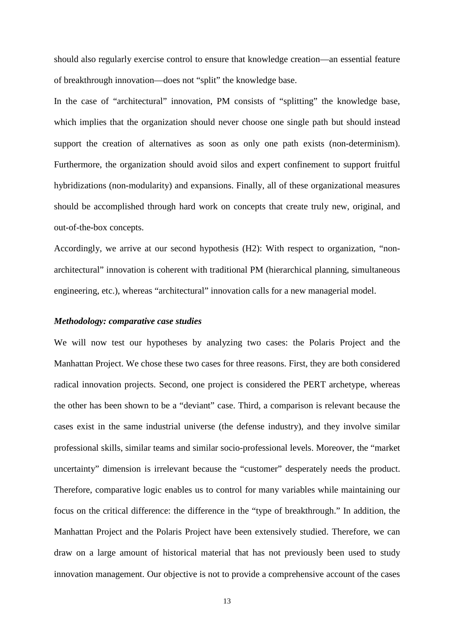should also regularly exercise control to ensure that knowledge creation—an essential feature of breakthrough innovation—does not "split" the knowledge base.

In the case of "architectural" innovation, PM consists of "splitting" the knowledge base, which implies that the organization should never choose one single path but should instead support the creation of alternatives as soon as only one path exists (non-determinism). Furthermore, the organization should avoid silos and expert confinement to support fruitful hybridizations (non-modularity) and expansions. Finally, all of these organizational measures should be accomplished through hard work on concepts that create truly new, original, and out-of-the-box concepts.

Accordingly, we arrive at our second hypothesis (H2): With respect to organization, "nonarchitectural" innovation is coherent with traditional PM (hierarchical planning, simultaneous engineering, etc.), whereas "architectural" innovation calls for a new managerial model.

#### *Methodology: comparative case studies*

We will now test our hypotheses by analyzing two cases: the Polaris Project and the Manhattan Project. We chose these two cases for three reasons. First, they are both considered radical innovation projects. Second, one project is considered the PERT archetype, whereas the other has been shown to be a "deviant" case. Third, a comparison is relevant because the cases exist in the same industrial universe (the defense industry), and they involve similar professional skills, similar teams and similar socio-professional levels. Moreover, the "market uncertainty" dimension is irrelevant because the "customer" desperately needs the product. Therefore, comparative logic enables us to control for many variables while maintaining our focus on the critical difference: the difference in the "type of breakthrough." In addition, the Manhattan Project and the Polaris Project have been extensively studied. Therefore, we can draw on a large amount of historical material that has not previously been used to study innovation management. Our objective is not to provide a comprehensive account of the cases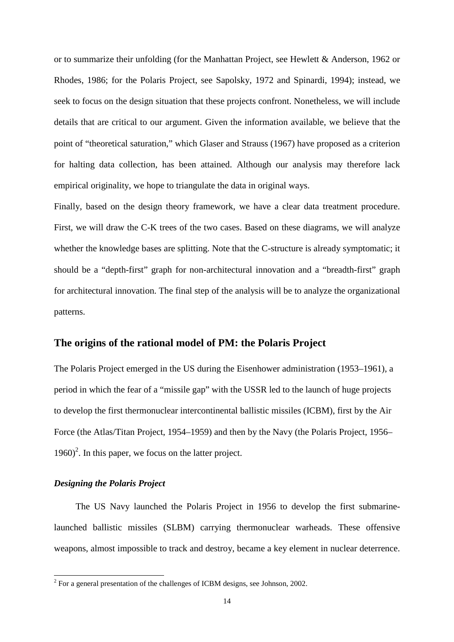or to summarize their unfolding (for the Manhattan Project, see Hewlett & Anderson, 1962 or Rhodes, 1986; for the Polaris Project, see Sapolsky, 1972 and Spinardi, 1994); instead, we seek to focus on the design situation that these projects confront. Nonetheless, we will include details that are critical to our argument. Given the information available, we believe that the point of "theoretical saturation," which Glaser and Strauss (1967) have proposed as a criterion for halting data collection, has been attained. Although our analysis may therefore lack empirical originality, we hope to triangulate the data in original ways.

Finally, based on the design theory framework, we have a clear data treatment procedure. First, we will draw the C-K trees of the two cases. Based on these diagrams, we will analyze whether the knowledge bases are splitting. Note that the C-structure is already symptomatic; it should be a "depth-first" graph for non-architectural innovation and a "breadth-first" graph for architectural innovation. The final step of the analysis will be to analyze the organizational patterns.

# **The origins of the rational model of PM: the Polaris Project**

The Polaris Project emerged in the US during the Eisenhower administration (1953–1961), a period in which the fear of a "missile gap" with the USSR led to the launch of huge projects to develop the first thermonuclear intercontinental ballistic missiles (ICBM), first by the Air Force (the Atlas/Titan Project, 1954–1959) and then by the Navy (the Polaris Project, 1956–  $1960$ <sup>2</sup>. In this paper, we focus on the latter project.

#### *Designing the Polaris Project*

The US Navy launched the Polaris Project in 1956 to develop the first submarinelaunched ballistic missiles (SLBM) carrying thermonuclear warheads. These offensive weapons, almost impossible to track and destroy, became a key element in nuclear deterrence.

<sup>&</sup>lt;sup>2</sup> For a general presentation of the challenges of ICBM designs, see Johnson, 2002.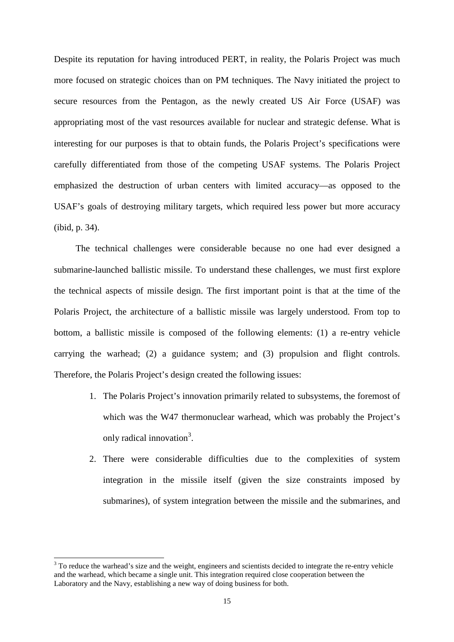Despite its reputation for having introduced PERT, in reality, the Polaris Project was much more focused on strategic choices than on PM techniques. The Navy initiated the project to secure resources from the Pentagon, as the newly created US Air Force (USAF) was appropriating most of the vast resources available for nuclear and strategic defense. What is interesting for our purposes is that to obtain funds, the Polaris Project's specifications were carefully differentiated from those of the competing USAF systems. The Polaris Project emphasized the destruction of urban centers with limited accuracy—as opposed to the USAF's goals of destroying military targets, which required less power but more accuracy (ibid, p. 34).

The technical challenges were considerable because no one had ever designed a submarine-launched ballistic missile. To understand these challenges, we must first explore the technical aspects of missile design. The first important point is that at the time of the Polaris Project, the architecture of a ballistic missile was largely understood. From top to bottom, a ballistic missile is composed of the following elements: (1) a re-entry vehicle carrying the warhead; (2) a guidance system; and (3) propulsion and flight controls. Therefore, the Polaris Project's design created the following issues:

- 1. The Polaris Project's innovation primarily related to subsystems, the foremost of which was the W47 thermonuclear warhead, which was probably the Project's only radical innovation<sup>3</sup>.
- 2. There were considerable difficulties due to the complexities of system integration in the missile itself (given the size constraints imposed by submarines), of system integration between the missile and the submarines, and

l

 $3$  To reduce the warhead's size and the weight, engineers and scientists decided to integrate the re-entry vehicle and the warhead, which became a single unit. This integration required close cooperation between the Laboratory and the Navy, establishing a new way of doing business for both.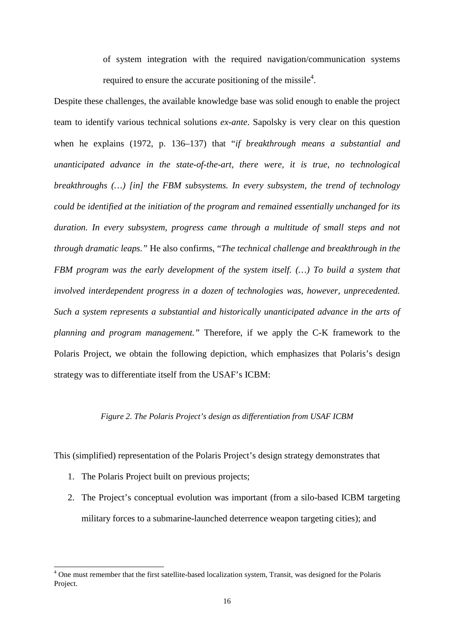of system integration with the required navigation/communication systems required to ensure the accurate positioning of the missile<sup>4</sup>.

Despite these challenges, the available knowledge base was solid enough to enable the project team to identify various technical solutions *ex-ante*. Sapolsky is very clear on this question when he explains (1972, p. 136–137) that "*if breakthrough means a substantial and unanticipated advance in the state-of-the-art, there were, it is true, no technological breakthroughs (…) [in] the FBM subsystems. In every subsystem, the trend of technology could be identified at the initiation of the program and remained essentially unchanged for its duration. In every subsystem, progress came through a multitude of small steps and not through dramatic leaps."* He also confirms, "*The technical challenge and breakthrough in the FBM program was the early development of the system itself. (…) To build a system that involved interdependent progress in a dozen of technologies was, however, unprecedented. Such a system represents a substantial and historically unanticipated advance in the arts of planning and program management."* Therefore, if we apply the C-K framework to the Polaris Project, we obtain the following depiction, which emphasizes that Polaris's design strategy was to differentiate itself from the USAF's ICBM:

#### *Figure 2. The Polaris Project's design as differentiation from USAF ICBM*

This (simplified) representation of the Polaris Project's design strategy demonstrates that

1. The Polaris Project built on previous projects;

l

2. The Project's conceptual evolution was important (from a silo-based ICBM targeting military forces to a submarine-launched deterrence weapon targeting cities); and

<sup>&</sup>lt;sup>4</sup> One must remember that the first satellite-based localization system, Transit, was designed for the Polaris Project.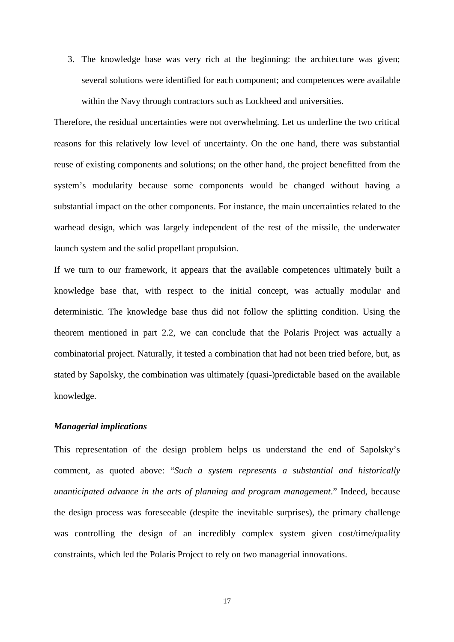3. The knowledge base was very rich at the beginning: the architecture was given; several solutions were identified for each component; and competences were available within the Navy through contractors such as Lockheed and universities.

Therefore, the residual uncertainties were not overwhelming. Let us underline the two critical reasons for this relatively low level of uncertainty. On the one hand, there was substantial reuse of existing components and solutions; on the other hand, the project benefitted from the system's modularity because some components would be changed without having a substantial impact on the other components. For instance, the main uncertainties related to the warhead design, which was largely independent of the rest of the missile, the underwater launch system and the solid propellant propulsion.

If we turn to our framework, it appears that the available competences ultimately built a knowledge base that, with respect to the initial concept, was actually modular and deterministic. The knowledge base thus did not follow the splitting condition. Using the theorem mentioned in part 2.2, we can conclude that the Polaris Project was actually a combinatorial project. Naturally, it tested a combination that had not been tried before, but, as stated by Sapolsky, the combination was ultimately (quasi-)predictable based on the available knowledge.

#### *Managerial implications*

This representation of the design problem helps us understand the end of Sapolsky's comment, as quoted above: "*Such a system represents a substantial and historically unanticipated advance in the arts of planning and program management*." Indeed, because the design process was foreseeable (despite the inevitable surprises), the primary challenge was controlling the design of an incredibly complex system given cost/time/quality constraints, which led the Polaris Project to rely on two managerial innovations.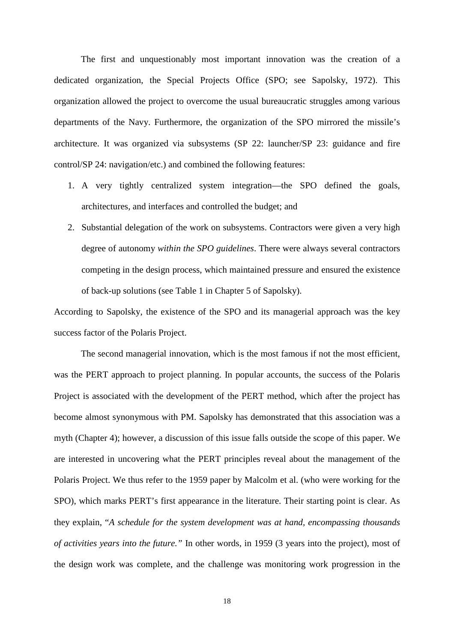The first and unquestionably most important innovation was the creation of a dedicated organization, the Special Projects Office (SPO; see Sapolsky, 1972). This organization allowed the project to overcome the usual bureaucratic struggles among various departments of the Navy. Furthermore, the organization of the SPO mirrored the missile's architecture. It was organized via subsystems (SP 22: launcher/SP 23: guidance and fire control/SP 24: navigation/etc.) and combined the following features:

- 1. A very tightly centralized system integration—the SPO defined the goals, architectures, and interfaces and controlled the budget; and
- 2. Substantial delegation of the work on subsystems. Contractors were given a very high degree of autonomy *within the SPO guidelines*. There were always several contractors competing in the design process, which maintained pressure and ensured the existence of back-up solutions (see Table 1 in Chapter 5 of Sapolsky).

According to Sapolsky, the existence of the SPO and its managerial approach was the key success factor of the Polaris Project.

 The second managerial innovation, which is the most famous if not the most efficient, was the PERT approach to project planning. In popular accounts, the success of the Polaris Project is associated with the development of the PERT method, which after the project has become almost synonymous with PM. Sapolsky has demonstrated that this association was a myth (Chapter 4); however, a discussion of this issue falls outside the scope of this paper. We are interested in uncovering what the PERT principles reveal about the management of the Polaris Project. We thus refer to the 1959 paper by Malcolm et al. (who were working for the SPO), which marks PERT's first appearance in the literature. Their starting point is clear. As they explain, "*A schedule for the system development was at hand, encompassing thousands of activities years into the future."* In other words, in 1959 (3 years into the project), most of the design work was complete, and the challenge was monitoring work progression in the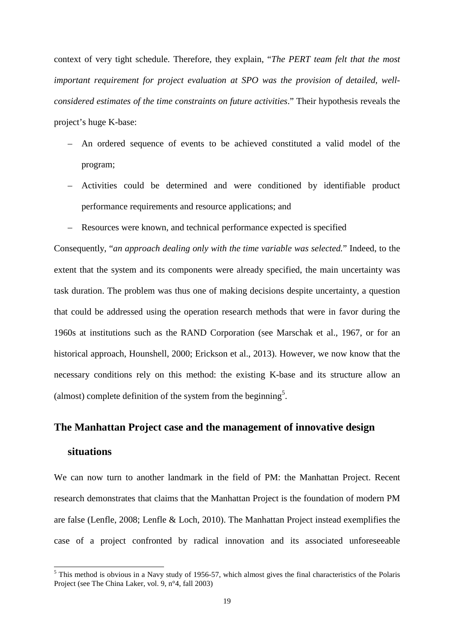context of very tight schedule. Therefore, they explain, "*The PERT team felt that the most important requirement for project evaluation at SPO was the provision of detailed, wellconsidered estimates of the time constraints on future activities*." Their hypothesis reveals the project's huge K-base:

- An ordered sequence of events to be achieved constituted a valid model of the program;
- Activities could be determined and were conditioned by identifiable product performance requirements and resource applications; and
- Resources were known, and technical performance expected is specified

Consequently, "*an approach dealing only with the time variable was selected.*" Indeed, to the extent that the system and its components were already specified, the main uncertainty was task duration. The problem was thus one of making decisions despite uncertainty, a question that could be addressed using the operation research methods that were in favor during the 1960s at institutions such as the RAND Corporation (see Marschak et al., 1967, or for an historical approach, Hounshell, 2000; Erickson et al., 2013). However, we now know that the necessary conditions rely on this method: the existing K-base and its structure allow an (almost) complete definition of the system from the beginning<sup>5</sup>.

## **The Manhattan Project case and the management of innovative design**

# **situations**

l

We can now turn to another landmark in the field of PM: the Manhattan Project. Recent research demonstrates that claims that the Manhattan Project is the foundation of modern PM are false (Lenfle, 2008; Lenfle & Loch, 2010). The Manhattan Project instead exemplifies the case of a project confronted by radical innovation and its associated unforeseeable

<sup>&</sup>lt;sup>5</sup> This method is obvious in a Navy study of 1956-57, which almost gives the final characteristics of the Polaris Project (see The China Laker, vol. 9, n°4, fall 2003)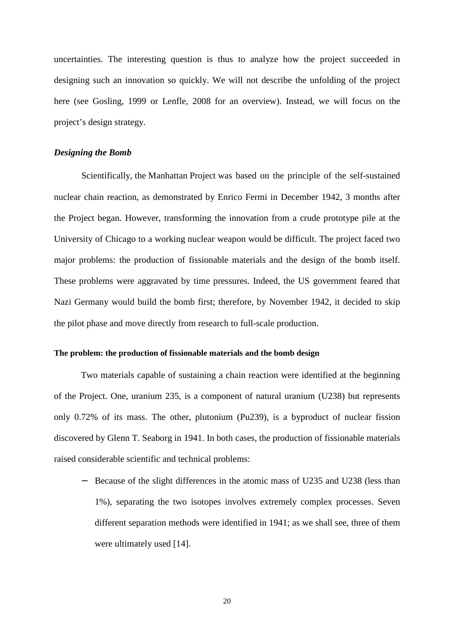uncertainties. The interesting question is thus to analyze how the project succeeded in designing such an innovation so quickly. We will not describe the unfolding of the project here (see Gosling, 1999 or Lenfle, 2008 for an overview). Instead, we will focus on the project's design strategy.

#### *Designing the Bomb*

Scientifically, the Manhattan Project was based on the principle of the self-sustained nuclear chain reaction, as demonstrated by Enrico Fermi in December 1942, 3 months after the Project began. However, transforming the innovation from a crude prototype pile at the University of Chicago to a working nuclear weapon would be difficult. The project faced two major problems: the production of fissionable materials and the design of the bomb itself. These problems were aggravated by time pressures. Indeed, the US government feared that Nazi Germany would build the bomb first; therefore, by November 1942, it decided to skip the pilot phase and move directly from research to full-scale production.

#### **The problem: the production of fissionable materials and the bomb design**

Two materials capable of sustaining a chain reaction were identified at the beginning of the Project. One, uranium 235, is a component of natural uranium (U238) but represents only 0.72% of its mass. The other, plutonium (Pu239), is a byproduct of nuclear fission discovered by Glenn T. Seaborg in 1941. In both cases, the production of fissionable materials raised considerable scientific and technical problems:

− Because of the slight differences in the atomic mass of U235 and U238 (less than 1%), separating the two isotopes involves extremely complex processes. Seven different separation methods were identified in 1941; as we shall see, three of them were ultimately used [14].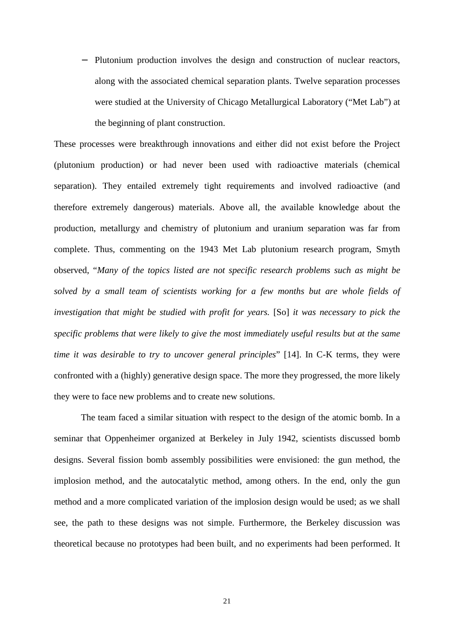− Plutonium production involves the design and construction of nuclear reactors, along with the associated chemical separation plants. Twelve separation processes were studied at the University of Chicago Metallurgical Laboratory ("Met Lab") at the beginning of plant construction.

These processes were breakthrough innovations and either did not exist before the Project (plutonium production) or had never been used with radioactive materials (chemical separation). They entailed extremely tight requirements and involved radioactive (and therefore extremely dangerous) materials. Above all, the available knowledge about the production, metallurgy and chemistry of plutonium and uranium separation was far from complete. Thus, commenting on the 1943 Met Lab plutonium research program, Smyth observed, "*Many of the topics listed are not specific research problems such as might be solved by a small team of scientists working for a few months but are whole fields of investigation that might be studied with profit for years.* [So] *it was necessary to pick the specific problems that were likely to give the most immediately useful results but at the same time it was desirable to try to uncover general principles*" [14]. In C-K terms, they were confronted with a (highly) generative design space. The more they progressed, the more likely they were to face new problems and to create new solutions.

The team faced a similar situation with respect to the design of the atomic bomb. In a seminar that Oppenheimer organized at Berkeley in July 1942, scientists discussed bomb designs. Several fission bomb assembly possibilities were envisioned: the gun method, the implosion method, and the autocatalytic method, among others. In the end, only the gun method and a more complicated variation of the implosion design would be used; as we shall see, the path to these designs was not simple. Furthermore, the Berkeley discussion was theoretical because no prototypes had been built, and no experiments had been performed. It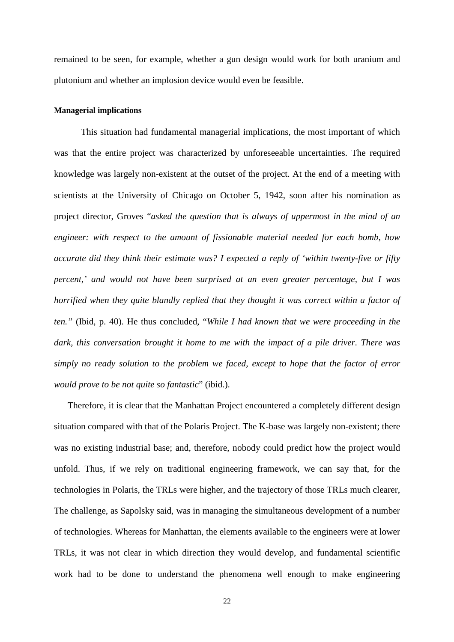remained to be seen, for example, whether a gun design would work for both uranium and plutonium and whether an implosion device would even be feasible.

#### **Managerial implications**

 This situation had fundamental managerial implications, the most important of which was that the entire project was characterized by unforeseeable uncertainties. The required knowledge was largely non-existent at the outset of the project. At the end of a meeting with scientists at the University of Chicago on October 5, 1942, soon after his nomination as project director, Groves "*asked the question that is always of uppermost in the mind of an engineer: with respect to the amount of fissionable material needed for each bomb, how accurate did they think their estimate was? I expected a reply of 'within twenty-five or fifty percent,' and would not have been surprised at an even greater percentage, but I was horrified when they quite blandly replied that they thought it was correct within a factor of ten."* (Ibid, p. 40). He thus concluded, "*While I had known that we were proceeding in the dark, this conversation brought it home to me with the impact of a pile driver. There was simply no ready solution to the problem we faced, except to hope that the factor of error would prove to be not quite so fantastic*" (ibid.).

Therefore, it is clear that the Manhattan Project encountered a completely different design situation compared with that of the Polaris Project. The K-base was largely non-existent; there was no existing industrial base; and, therefore, nobody could predict how the project would unfold. Thus, if we rely on traditional engineering framework, we can say that, for the technologies in Polaris, the TRLs were higher, and the trajectory of those TRLs much clearer, The challenge, as Sapolsky said, was in managing the simultaneous development of a number of technologies. Whereas for Manhattan, the elements available to the engineers were at lower TRLs, it was not clear in which direction they would develop, and fundamental scientific work had to be done to understand the phenomena well enough to make engineering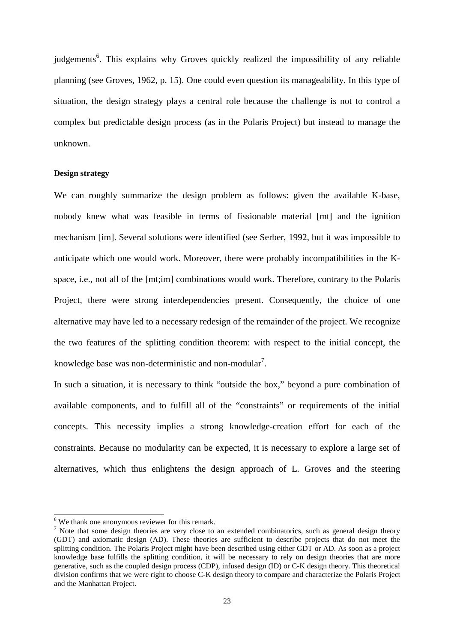judgements<sup>6</sup>. This explains why Groves quickly realized the impossibility of any reliable planning (see Groves, 1962, p. 15). One could even question its manageability. In this type of situation, the design strategy plays a central role because the challenge is not to control a complex but predictable design process (as in the Polaris Project) but instead to manage the unknown.

#### **Design strategy**

We can roughly summarize the design problem as follows: given the available K-base, nobody knew what was feasible in terms of fissionable material [mt] and the ignition mechanism [im]. Several solutions were identified (see Serber, 1992, but it was impossible to anticipate which one would work. Moreover, there were probably incompatibilities in the Kspace, i.e., not all of the [mt;im] combinations would work. Therefore, contrary to the Polaris Project, there were strong interdependencies present. Consequently, the choice of one alternative may have led to a necessary redesign of the remainder of the project. We recognize the two features of the splitting condition theorem: with respect to the initial concept, the knowledge base was non-deterministic and non-modular<sup>7</sup>.

In such a situation, it is necessary to think "outside the box," beyond a pure combination of available components, and to fulfill all of the "constraints" or requirements of the initial concepts. This necessity implies a strong knowledge-creation effort for each of the constraints. Because no modularity can be expected, it is necessary to explore a large set of alternatives, which thus enlightens the design approach of L. Groves and the steering

l

<sup>&</sup>lt;sup>6</sup> We thank one anonymous reviewer for this remark.

 $<sup>7</sup>$  Note that some design theories are very close to an extended combinatorics, such as general design theory</sup> (GDT) and axiomatic design (AD). These theories are sufficient to describe projects that do not meet the splitting condition. The Polaris Project might have been described using either GDT or AD. As soon as a project knowledge base fulfills the splitting condition, it will be necessary to rely on design theories that are more generative, such as the coupled design process (CDP), infused design (ID) or C-K design theory. This theoretical division confirms that we were right to choose C-K design theory to compare and characterize the Polaris Project and the Manhattan Project.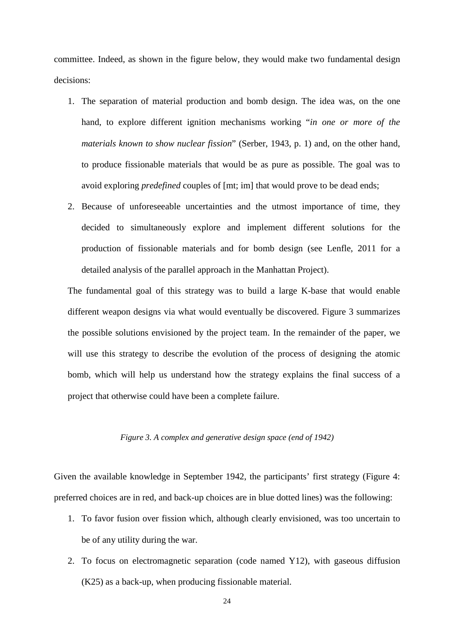committee. Indeed, as shown in the figure below, they would make two fundamental design decisions:

- 1. The separation of material production and bomb design. The idea was, on the one hand, to explore different ignition mechanisms working "*in one or more of the materials known to show nuclear fission*" (Serber, 1943, p. 1) and, on the other hand, to produce fissionable materials that would be as pure as possible. The goal was to avoid exploring *predefined* couples of [mt; im] that would prove to be dead ends;
- 2. Because of unforeseeable uncertainties and the utmost importance of time, they decided to simultaneously explore and implement different solutions for the production of fissionable materials and for bomb design (see Lenfle, 2011 for a detailed analysis of the parallel approach in the Manhattan Project).

The fundamental goal of this strategy was to build a large K-base that would enable different weapon designs via what would eventually be discovered. Figure 3 summarizes the possible solutions envisioned by the project team. In the remainder of the paper, we will use this strategy to describe the evolution of the process of designing the atomic bomb, which will help us understand how the strategy explains the final success of a project that otherwise could have been a complete failure.

#### *Figure 3. A complex and generative design space (end of 1942)*

Given the available knowledge in September 1942, the participants' first strategy (Figure 4: preferred choices are in red, and back-up choices are in blue dotted lines) was the following:

- 1. To favor fusion over fission which, although clearly envisioned, was too uncertain to be of any utility during the war.
- 2. To focus on electromagnetic separation (code named Y12), with gaseous diffusion (K25) as a back-up, when producing fissionable material.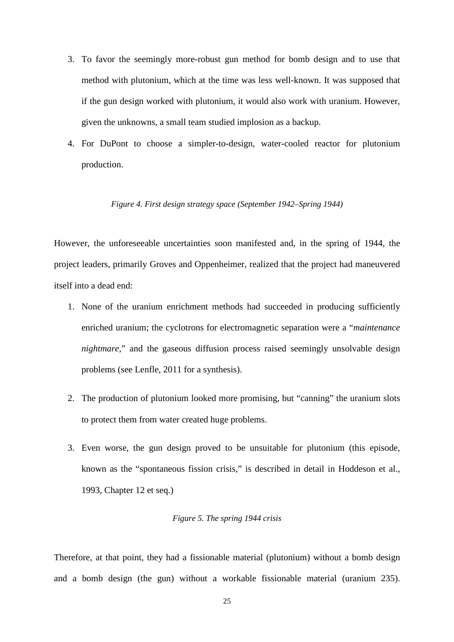- 3. To favor the seemingly more-robust gun method for bomb design and to use that method with plutonium, which at the time was less well-known. It was supposed that if the gun design worked with plutonium, it would also work with uranium. However, given the unknowns, a small team studied implosion as a backup.
- 4. For DuPont to choose a simpler-to-design, water-cooled reactor for plutonium production.

#### *Figure 4. First design strategy space (September 1942–Spring 1944)*

However, the unforeseeable uncertainties soon manifested and, in the spring of 1944, the project leaders, primarily Groves and Oppenheimer, realized that the project had maneuvered itself into a dead end:

- 1. None of the uranium enrichment methods had succeeded in producing sufficiently enriched uranium; the cyclotrons for electromagnetic separation were a "*maintenance nightmare,*" and the gaseous diffusion process raised seemingly unsolvable design problems (see Lenfle, 2011 for a synthesis).
- 2. The production of plutonium looked more promising, but "canning" the uranium slots to protect them from water created huge problems.
- 3. Even worse, the gun design proved to be unsuitable for plutonium (this episode, known as the "spontaneous fission crisis," is described in detail in Hoddeson et al., 1993, Chapter 12 et seq.)

#### *Figure 5. The spring 1944 crisis*

Therefore, at that point, they had a fissionable material (plutonium) without a bomb design and a bomb design (the gun) without a workable fissionable material (uranium 235).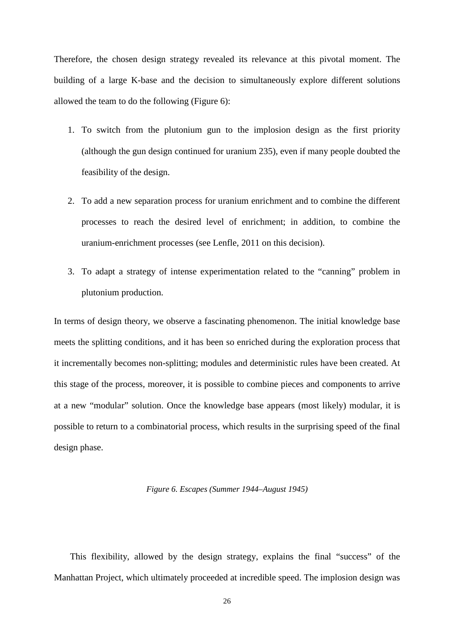Therefore, the chosen design strategy revealed its relevance at this pivotal moment. The building of a large K-base and the decision to simultaneously explore different solutions allowed the team to do the following (Figure 6):

- 1. To switch from the plutonium gun to the implosion design as the first priority (although the gun design continued for uranium 235), even if many people doubted the feasibility of the design.
- 2. To add a new separation process for uranium enrichment and to combine the different processes to reach the desired level of enrichment; in addition, to combine the uranium-enrichment processes (see Lenfle, 2011 on this decision).
- 3. To adapt a strategy of intense experimentation related to the "canning" problem in plutonium production.

In terms of design theory, we observe a fascinating phenomenon. The initial knowledge base meets the splitting conditions, and it has been so enriched during the exploration process that it incrementally becomes non-splitting; modules and deterministic rules have been created. At this stage of the process, moreover, it is possible to combine pieces and components to arrive at a new "modular" solution. Once the knowledge base appears (most likely) modular, it is possible to return to a combinatorial process, which results in the surprising speed of the final design phase.

#### *Figure 6. Escapes (Summer 1944–August 1945)*

This flexibility, allowed by the design strategy, explains the final "success" of the Manhattan Project, which ultimately proceeded at incredible speed. The implosion design was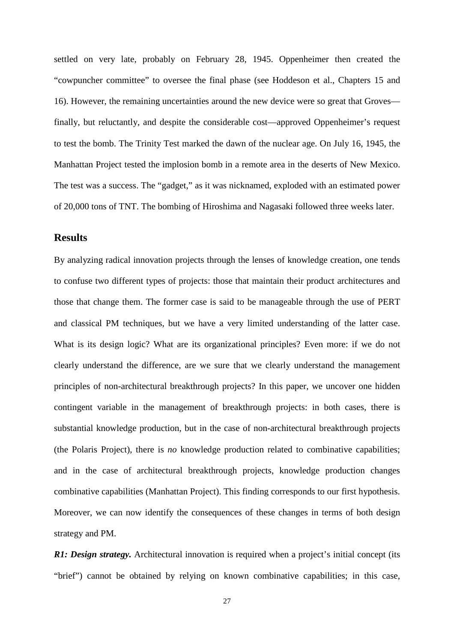settled on very late, probably on February 28, 1945. Oppenheimer then created the "cowpuncher committee" to oversee the final phase (see Hoddeson et al., Chapters 15 and 16). However, the remaining uncertainties around the new device were so great that Groves finally, but reluctantly, and despite the considerable cost—approved Oppenheimer's request to test the bomb. The Trinity Test marked the dawn of the nuclear age. On July 16, 1945, the Manhattan Project tested the implosion bomb in a remote area in the deserts of New Mexico. The test was a success. The "gadget," as it was nicknamed, exploded with an estimated power of 20,000 tons of TNT. The bombing of Hiroshima and Nagasaki followed three weeks later.

# **Results**

By analyzing radical innovation projects through the lenses of knowledge creation, one tends to confuse two different types of projects: those that maintain their product architectures and those that change them. The former case is said to be manageable through the use of PERT and classical PM techniques, but we have a very limited understanding of the latter case. What is its design logic? What are its organizational principles? Even more: if we do not clearly understand the difference, are we sure that we clearly understand the management principles of non-architectural breakthrough projects? In this paper, we uncover one hidden contingent variable in the management of breakthrough projects: in both cases, there is substantial knowledge production, but in the case of non-architectural breakthrough projects (the Polaris Project), there is *no* knowledge production related to combinative capabilities; and in the case of architectural breakthrough projects, knowledge production changes combinative capabilities (Manhattan Project). This finding corresponds to our first hypothesis. Moreover, we can now identify the consequences of these changes in terms of both design strategy and PM.

*R1: Design strategy.* Architectural innovation is required when a project's initial concept (its "brief") cannot be obtained by relying on known combinative capabilities; in this case,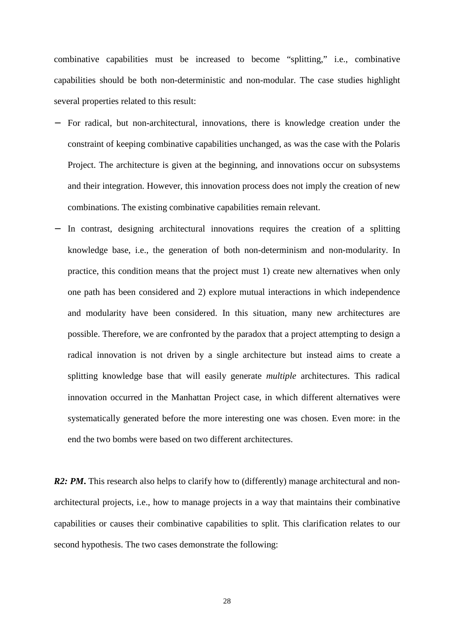combinative capabilities must be increased to become "splitting," i.e., combinative capabilities should be both non-deterministic and non-modular. The case studies highlight several properties related to this result:

- − For radical, but non-architectural, innovations, there is knowledge creation under the constraint of keeping combinative capabilities unchanged, as was the case with the Polaris Project. The architecture is given at the beginning, and innovations occur on subsystems and their integration. However, this innovation process does not imply the creation of new combinations. The existing combinative capabilities remain relevant.
- In contrast, designing architectural innovations requires the creation of a splitting knowledge base, i.e., the generation of both non-determinism and non-modularity. In practice, this condition means that the project must 1) create new alternatives when only one path has been considered and 2) explore mutual interactions in which independence and modularity have been considered. In this situation, many new architectures are possible. Therefore, we are confronted by the paradox that a project attempting to design a radical innovation is not driven by a single architecture but instead aims to create a splitting knowledge base that will easily generate *multiple* architectures. This radical innovation occurred in the Manhattan Project case, in which different alternatives were systematically generated before the more interesting one was chosen. Even more: in the end the two bombs were based on two different architectures.

*R2: PM*. This research also helps to clarify how to (differently) manage architectural and nonarchitectural projects, i.e., how to manage projects in a way that maintains their combinative capabilities or causes their combinative capabilities to split. This clarification relates to our second hypothesis. The two cases demonstrate the following: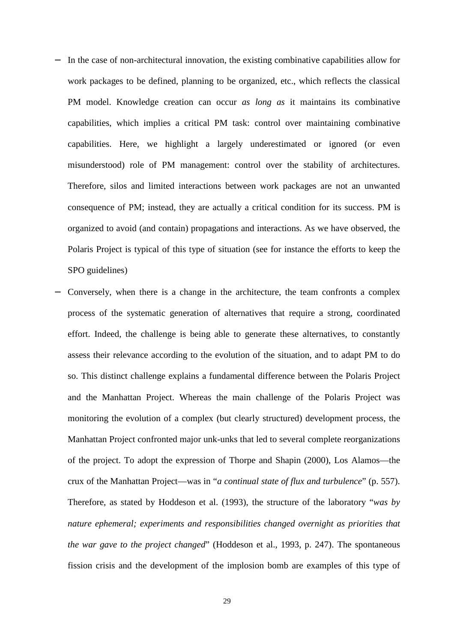- In the case of non-architectural innovation, the existing combinative capabilities allow for work packages to be defined, planning to be organized, etc., which reflects the classical PM model. Knowledge creation can occur *as long as* it maintains its combinative capabilities, which implies a critical PM task: control over maintaining combinative capabilities. Here, we highlight a largely underestimated or ignored (or even misunderstood) role of PM management: control over the stability of architectures. Therefore, silos and limited interactions between work packages are not an unwanted consequence of PM; instead, they are actually a critical condition for its success. PM is organized to avoid (and contain) propagations and interactions. As we have observed, the Polaris Project is typical of this type of situation (see for instance the efforts to keep the SPO guidelines)
- Conversely, when there is a change in the architecture, the team confronts a complex process of the systematic generation of alternatives that require a strong, coordinated effort. Indeed, the challenge is being able to generate these alternatives, to constantly assess their relevance according to the evolution of the situation, and to adapt PM to do so. This distinct challenge explains a fundamental difference between the Polaris Project and the Manhattan Project. Whereas the main challenge of the Polaris Project was monitoring the evolution of a complex (but clearly structured) development process, the Manhattan Project confronted major unk-unks that led to several complete reorganizations of the project. To adopt the expression of Thorpe and Shapin (2000), Los Alamos—the crux of the Manhattan Project—was in "*a continual state of flux and turbulence*" (p. 557). Therefore, as stated by Hoddeson et al. (1993), the structure of the laboratory "*was by nature ephemeral; experiments and responsibilities changed overnight as priorities that the war gave to the project changed*" (Hoddeson et al., 1993, p. 247). The spontaneous fission crisis and the development of the implosion bomb are examples of this type of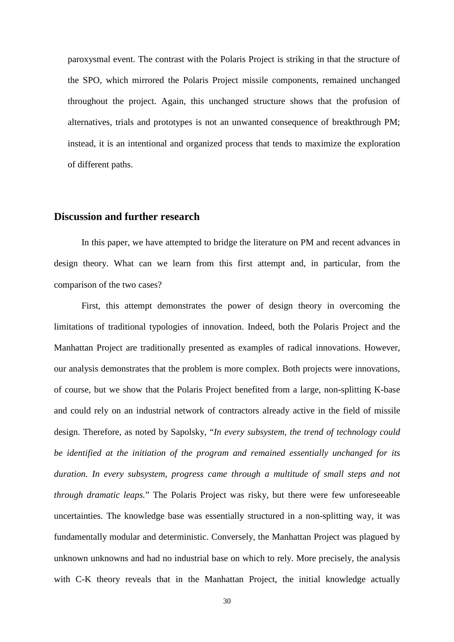paroxysmal event. The contrast with the Polaris Project is striking in that the structure of the SPO, which mirrored the Polaris Project missile components, remained unchanged throughout the project. Again, this unchanged structure shows that the profusion of alternatives, trials and prototypes is not an unwanted consequence of breakthrough PM; instead, it is an intentional and organized process that tends to maximize the exploration of different paths.

#### **Discussion and further research**

In this paper, we have attempted to bridge the literature on PM and recent advances in design theory. What can we learn from this first attempt and, in particular, from the comparison of the two cases?

First, this attempt demonstrates the power of design theory in overcoming the limitations of traditional typologies of innovation. Indeed, both the Polaris Project and the Manhattan Project are traditionally presented as examples of radical innovations. However, our analysis demonstrates that the problem is more complex. Both projects were innovations, of course, but we show that the Polaris Project benefited from a large, non-splitting K-base and could rely on an industrial network of contractors already active in the field of missile design. Therefore, as noted by Sapolsky, "*In every subsystem, the trend of technology could be identified at the initiation of the program and remained essentially unchanged for its duration. In every subsystem, progress came through a multitude of small steps and not through dramatic leaps.*" The Polaris Project was risky, but there were few unforeseeable uncertainties. The knowledge base was essentially structured in a non-splitting way, it was fundamentally modular and deterministic. Conversely, the Manhattan Project was plagued by unknown unknowns and had no industrial base on which to rely. More precisely, the analysis with C-K theory reveals that in the Manhattan Project, the initial knowledge actually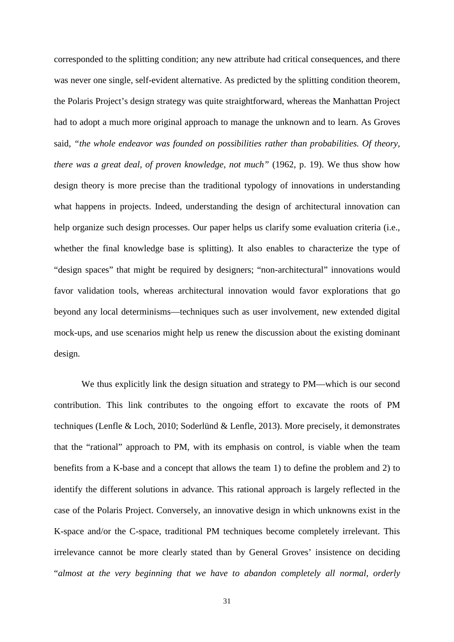corresponded to the splitting condition; any new attribute had critical consequences, and there was never one single, self-evident alternative. As predicted by the splitting condition theorem, the Polaris Project's design strategy was quite straightforward, whereas the Manhattan Project had to adopt a much more original approach to manage the unknown and to learn. As Groves said, *"the whole endeavor was founded on possibilities rather than probabilities. Of theory, there was a great deal, of proven knowledge, not much"* (1962, p. 19). We thus show how design theory is more precise than the traditional typology of innovations in understanding what happens in projects. Indeed, understanding the design of architectural innovation can help organize such design processes. Our paper helps us clarify some evaluation criteria (i.e., whether the final knowledge base is splitting). It also enables to characterize the type of "design spaces" that might be required by designers; "non-architectural" innovations would favor validation tools, whereas architectural innovation would favor explorations that go beyond any local determinisms—techniques such as user involvement, new extended digital mock-ups, and use scenarios might help us renew the discussion about the existing dominant design.

We thus explicitly link the design situation and strategy to PM—which is our second contribution. This link contributes to the ongoing effort to excavate the roots of PM techniques (Lenfle & Loch, 2010; Soderlünd & Lenfle, 2013). More precisely, it demonstrates that the "rational" approach to PM, with its emphasis on control, is viable when the team benefits from a K-base and a concept that allows the team 1) to define the problem and 2) to identify the different solutions in advance. This rational approach is largely reflected in the case of the Polaris Project. Conversely, an innovative design in which unknowns exist in the K-space and/or the C-space, traditional PM techniques become completely irrelevant. This irrelevance cannot be more clearly stated than by General Groves' insistence on deciding "*almost at the very beginning that we have to abandon completely all normal, orderly*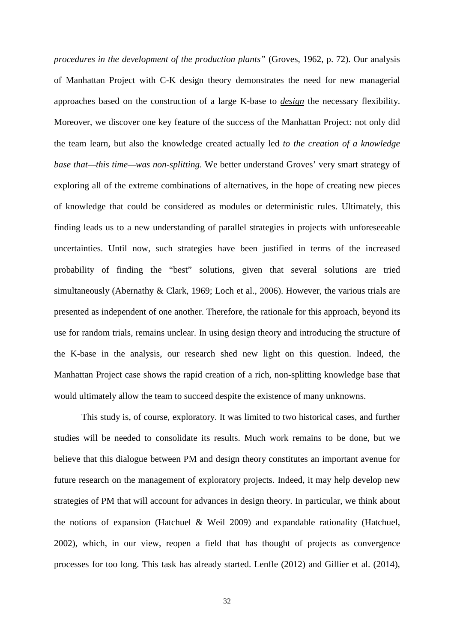*procedures in the development of the production plants"* (Groves, 1962, p. 72). Our analysis of Manhattan Project with C-K design theory demonstrates the need for new managerial approaches based on the construction of a large K-base to *design* the necessary flexibility. Moreover, we discover one key feature of the success of the Manhattan Project: not only did the team learn, but also the knowledge created actually led *to the creation of a knowledge base that—this time—was non-splitting*. We better understand Groves' very smart strategy of exploring all of the extreme combinations of alternatives, in the hope of creating new pieces of knowledge that could be considered as modules or deterministic rules. Ultimately, this finding leads us to a new understanding of parallel strategies in projects with unforeseeable uncertainties. Until now, such strategies have been justified in terms of the increased probability of finding the "best" solutions, given that several solutions are tried simultaneously (Abernathy & Clark, 1969; Loch et al., 2006). However, the various trials are presented as independent of one another. Therefore, the rationale for this approach, beyond its use for random trials, remains unclear. In using design theory and introducing the structure of the K-base in the analysis, our research shed new light on this question. Indeed, the Manhattan Project case shows the rapid creation of a rich, non-splitting knowledge base that would ultimately allow the team to succeed despite the existence of many unknowns.

This study is, of course, exploratory. It was limited to two historical cases, and further studies will be needed to consolidate its results. Much work remains to be done, but we believe that this dialogue between PM and design theory constitutes an important avenue for future research on the management of exploratory projects. Indeed, it may help develop new strategies of PM that will account for advances in design theory. In particular, we think about the notions of expansion (Hatchuel & Weil 2009) and expandable rationality (Hatchuel, 2002), which, in our view, reopen a field that has thought of projects as convergence processes for too long. This task has already started. Lenfle (2012) and Gillier et al. (2014),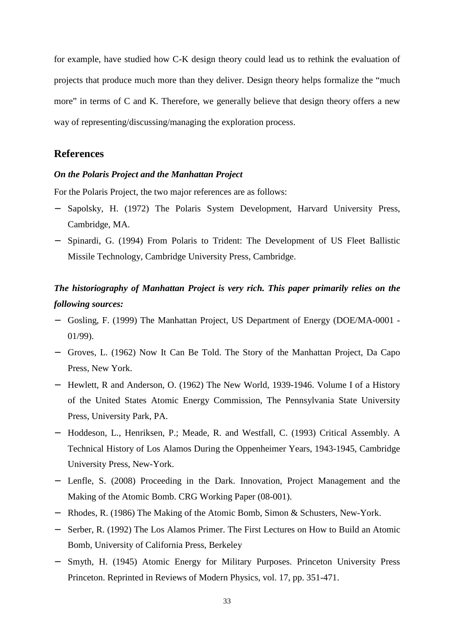for example, have studied how C-K design theory could lead us to rethink the evaluation of projects that produce much more than they deliver. Design theory helps formalize the "much more" in terms of C and K. Therefore, we generally believe that design theory offers a new way of representing/discussing/managing the exploration process.

# **References**

#### *On the Polaris Project and the Manhattan Project*

For the Polaris Project, the two major references are as follows:

- Sapolsky, H. (1972) The Polaris System Development, Harvard University Press, Cambridge, MA.
- − Spinardi, G. (1994) From Polaris to Trident: The Development of US Fleet Ballistic Missile Technology, Cambridge University Press, Cambridge.

# *The historiography of Manhattan Project is very rich. This paper primarily relies on the following sources:*

- − Gosling, F. (1999) The Manhattan Project, US Department of Energy (DOE/MA-0001 01/99).
- − Groves, L. (1962) Now It Can Be Told. The Story of the Manhattan Project, Da Capo Press, New York.
- − Hewlett, R and Anderson, O. (1962) The New World, 1939-1946. Volume I of a History of the United States Atomic Energy Commission, The Pennsylvania State University Press, University Park, PA.
- − Hoddeson, L., Henriksen, P.; Meade, R. and Westfall, C. (1993) Critical Assembly. A Technical History of Los Alamos During the Oppenheimer Years, 1943-1945, Cambridge University Press, New-York.
- − Lenfle, S. (2008) Proceeding in the Dark. Innovation, Project Management and the Making of the Atomic Bomb. CRG Working Paper (08-001).
- − Rhodes, R. (1986) The Making of the Atomic Bomb, Simon & Schusters, New-York.
- − Serber, R. (1992) The Los Alamos Primer. The First Lectures on How to Build an Atomic Bomb, University of California Press, Berkeley
- Smyth, H. (1945) Atomic Energy for Military Purposes. Princeton University Press Princeton. Reprinted in Reviews of Modern Physics, vol. 17, pp. 351-471.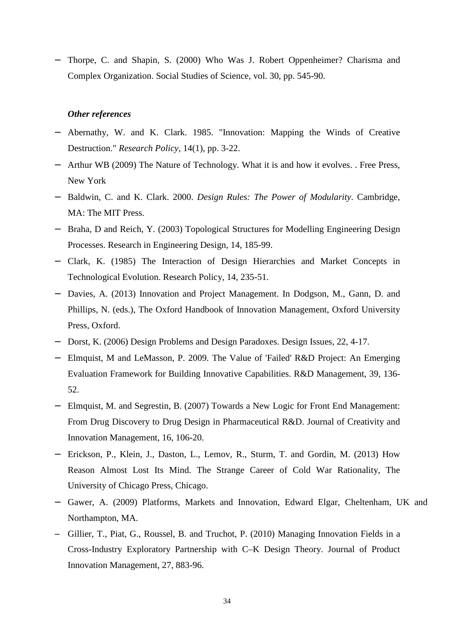− Thorpe, C. and Shapin, S. (2000) Who Was J. Robert Oppenheimer? Charisma and Complex Organization. Social Studies of Science, vol. 30, pp. 545-90.

## *Other references*

- − Abernathy, W. and K. Clark. 1985. "Innovation: Mapping the Winds of Creative Destruction." *Research Policy*, 14(1), pp. 3-22.
- − Arthur WB (2009) The Nature of Technology. What it is and how it evolves. . Free Press, New York
- − Baldwin, C. and K. Clark. 2000. *Design Rules: The Power of Modularity*. Cambridge, MA: The MIT Press.
- − Braha, D and Reich, Y. (2003) Topological Structures for Modelling Engineering Design Processes. Research in Engineering Design, 14, 185-99.
- − Clark, K. (1985) The Interaction of Design Hierarchies and Market Concepts in Technological Evolution. Research Policy, 14, 235-51.
- − Davies, A. (2013) Innovation and Project Management. In Dodgson, M., Gann, D. and Phillips, N. (eds.), The Oxford Handbook of Innovation Management, Oxford University Press, Oxford.
- − Dorst, K. (2006) Design Problems and Design Paradoxes. Design Issues, 22, 4-17.
- − Elmquist, M and LeMasson, P. 2009. The Value of 'Failed' R&D Project: An Emerging Evaluation Framework for Building Innovative Capabilities. R&D Management, 39, 136- 52.
- − Elmquist, M. and Segrestin, B. (2007) Towards a New Logic for Front End Management: From Drug Discovery to Drug Design in Pharmaceutical R&D. Journal of Creativity and Innovation Management, 16, 106-20.
- − Erickson, P., Klein, J., Daston, L., Lemov, R., Sturm, T. and Gordin, M. (2013) How Reason Almost Lost Its Mind. The Strange Career of Cold War Rationality, The University of Chicago Press, Chicago.
- − Gawer, A. (2009) Platforms, Markets and Innovation, Edward Elgar, Cheltenham, UK and Northampton, MA.
- − Gillier, T., Piat, G., Roussel, B. and Truchot, P. (2010) Managing Innovation Fields in a Cross-Industry Exploratory Partnership with C–K Design Theory. Journal of Product Innovation Management, 27, 883-96.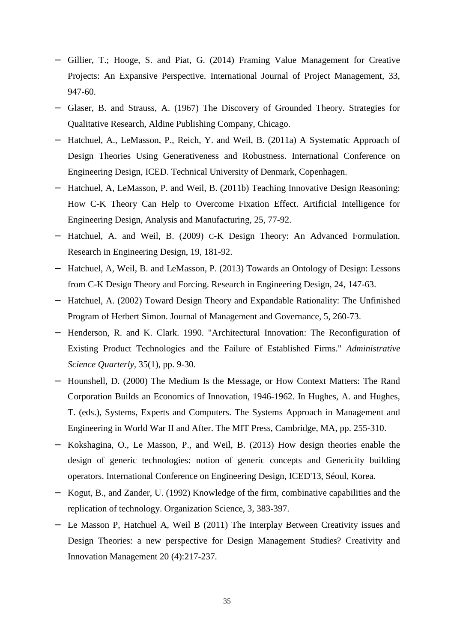- − Gillier, T.; Hooge, S. and Piat, G. (2014) Framing Value Management for Creative Projects: An Expansive Perspective. International Journal of Project Management, 33, 947-60.
- − Glaser, B. and Strauss, A. (1967) The Discovery of Grounded Theory. Strategies for Qualitative Research, Aldine Publishing Company, Chicago.
- − Hatchuel, A., LeMasson, P., Reich, Y. and Weil, B. (2011a) A Systematic Approach of Design Theories Using Generativeness and Robustness. International Conference on Engineering Design, ICED. Technical University of Denmark, Copenhagen.
- − Hatchuel, A, LeMasson, P. and Weil, B. (2011b) Teaching Innovative Design Reasoning: How C-K Theory Can Help to Overcome Fixation Effect. Artificial Intelligence for Engineering Design, Analysis and Manufacturing, 25, 77-92.
- − Hatchuel, A. and Weil, B. (2009) C-K Design Theory: An Advanced Formulation. Research in Engineering Design, 19, 181-92.
- − Hatchuel, A, Weil, B. and LeMasson, P. (2013) Towards an Ontology of Design: Lessons from C-K Design Theory and Forcing. Research in Engineering Design, 24, 147-63.
- − Hatchuel, A. (2002) Toward Design Theory and Expandable Rationality: The Unfinished Program of Herbert Simon. Journal of Management and Governance, 5, 260-73.
- − Henderson, R. and K. Clark. 1990. "Architectural Innovation: The Reconfiguration of Existing Product Technologies and the Failure of Established Firms." *Administrative Science Quarterly*, 35(1), pp. 9-30.
- − Hounshell, D. (2000) The Medium Is the Message, or How Context Matters: The Rand Corporation Builds an Economics of Innovation, 1946-1962. In Hughes, A. and Hughes, T. (eds.), Systems, Experts and Computers. The Systems Approach in Management and Engineering in World War II and After. The MIT Press, Cambridge, MA, pp. 255-310.
- − Kokshagina, O., Le Masson, P., and Weil, B. (2013) How design theories enable the design of generic technologies: notion of generic concepts and Genericity building operators. International Conference on Engineering Design, ICED'13, Séoul, Korea.
- − Kogut, B., and Zander, U. (1992) Knowledge of the firm, combinative capabilities and the replication of technology. Organization Science, 3, 383-397.
- − Le Masson P, Hatchuel A, Weil B (2011) The Interplay Between Creativity issues and Design Theories: a new perspective for Design Management Studies? Creativity and Innovation Management 20 (4):217-237.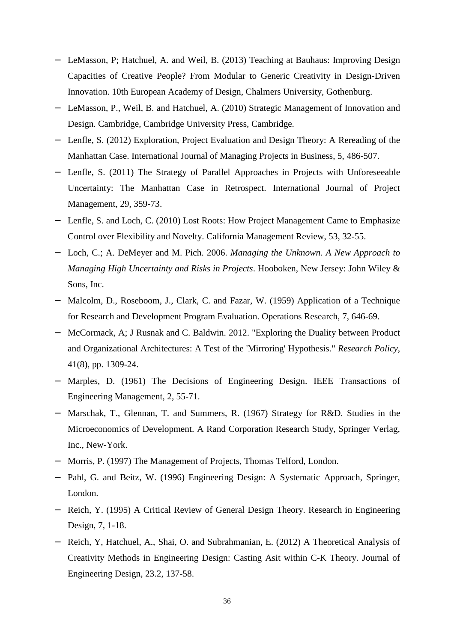- LeMasson, P; Hatchuel, A. and Weil, B. (2013) Teaching at Bauhaus: Improving Design Capacities of Creative People? From Modular to Generic Creativity in Design-Driven Innovation. 10th European Academy of Design, Chalmers University, Gothenburg.
- LeMasson, P., Weil, B. and Hatchuel, A. (2010) Strategic Management of Innovation and Design. Cambridge, Cambridge University Press, Cambridge.
- − Lenfle, S. (2012) Exploration, Project Evaluation and Design Theory: A Rereading of the Manhattan Case. International Journal of Managing Projects in Business, 5, 486-507.
- − Lenfle, S. (2011) The Strategy of Parallel Approaches in Projects with Unforeseeable Uncertainty: The Manhattan Case in Retrospect. International Journal of Project Management, 29, 359-73.
- − Lenfle, S. and Loch, C. (2010) Lost Roots: How Project Management Came to Emphasize Control over Flexibility and Novelty. California Management Review, 53, 32-55.
- − Loch, C.; A. DeMeyer and M. Pich. 2006. *Managing the Unknown. A New Approach to Managing High Uncertainty and Risks in Projects*. Hooboken, New Jersey: John Wiley & Sons, Inc.
- − Malcolm, D., Roseboom, J., Clark, C. and Fazar, W. (1959) Application of a Technique for Research and Development Program Evaluation. Operations Research, 7, 646-69.
- − McCormack, A; J Rusnak and C. Baldwin. 2012. "Exploring the Duality between Product and Organizational Architectures: A Test of the 'Mirroring' Hypothesis." *Research Policy*, 41(8), pp. 1309-24.
- − Marples, D. (1961) The Decisions of Engineering Design. IEEE Transactions of Engineering Management, 2, 55-71.
- − Marschak, T., Glennan, T. and Summers, R. (1967) Strategy for R&D. Studies in the Microeconomics of Development. A Rand Corporation Research Study, Springer Verlag, Inc., New-York.
- − Morris, P. (1997) The Management of Projects, Thomas Telford, London.
- − Pahl, G. and Beitz, W. (1996) Engineering Design: A Systematic Approach, Springer, London.
- − Reich, Y. (1995) A Critical Review of General Design Theory. Research in Engineering Design, 7, 1-18.
- − Reich, Y, Hatchuel, A., Shai, O. and Subrahmanian, E. (2012) A Theoretical Analysis of Creativity Methods in Engineering Design: Casting Asit within C-K Theory. Journal of Engineering Design, 23.2, 137-58.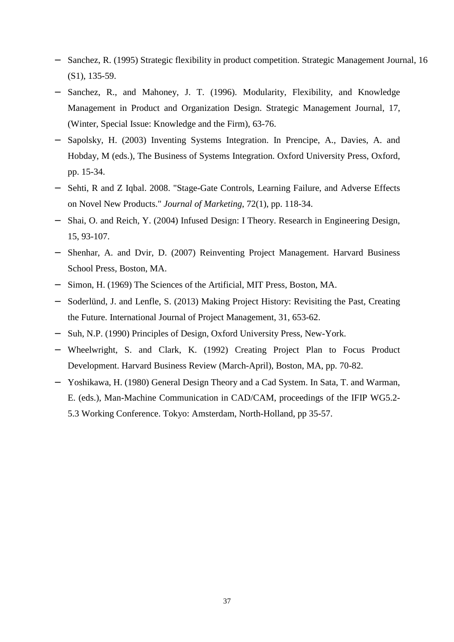- Sanchez, R. (1995) Strategic flexibility in product competition. Strategic Management Journal, 16 (S1), 135-59.
- Sanchez, R., and Mahoney, J. T. (1996). Modularity, Flexibility, and Knowledge Management in Product and Organization Design. Strategic Management Journal, 17, (Winter, Special Issue: Knowledge and the Firm), 63-76.
- Sapolsky, H. (2003) Inventing Systems Integration. In Prencipe, A., Davies, A. and Hobday, M (eds.), The Business of Systems Integration. Oxford University Press, Oxford, pp. 15-34.
- − Sehti, R and Z Iqbal. 2008. "Stage-Gate Controls, Learning Failure, and Adverse Effects on Novel New Products." *Journal of Marketing*, 72(1), pp. 118-34.
- − Shai, O. and Reich, Y. (2004) Infused Design: I Theory. Research in Engineering Design, 15, 93-107.
- − Shenhar, A. and Dvir, D. (2007) Reinventing Project Management. Harvard Business School Press, Boston, MA.
- − Simon, H. (1969) The Sciences of the Artificial, MIT Press, Boston, MA.
- − Soderlünd, J. and Lenfle, S. (2013) Making Project History: Revisiting the Past, Creating the Future. International Journal of Project Management, 31, 653-62.
- − Suh, N.P. (1990) Principles of Design, Oxford University Press, New-York.
- − Wheelwright, S. and Clark, K. (1992) Creating Project Plan to Focus Product Development. Harvard Business Review (March-April), Boston, MA, pp. 70-82.
- − Yoshikawa, H. (1980) General Design Theory and a Cad System. In Sata, T. and Warman, E. (eds.), Man-Machine Communication in CAD/CAM, proceedings of the IFIP WG5.2- 5.3 Working Conference. Tokyo: Amsterdam, North-Holland, pp 35-57.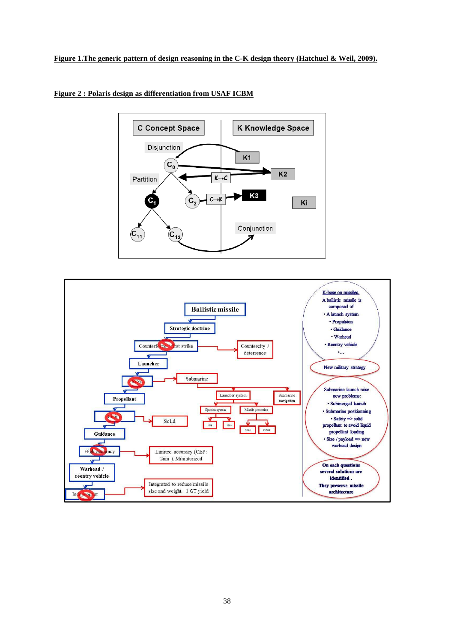



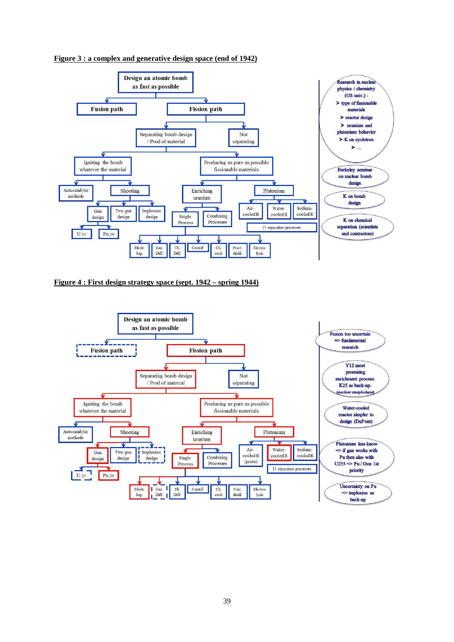

**Figure 3 : a complex and generative design space (end of 1942)**